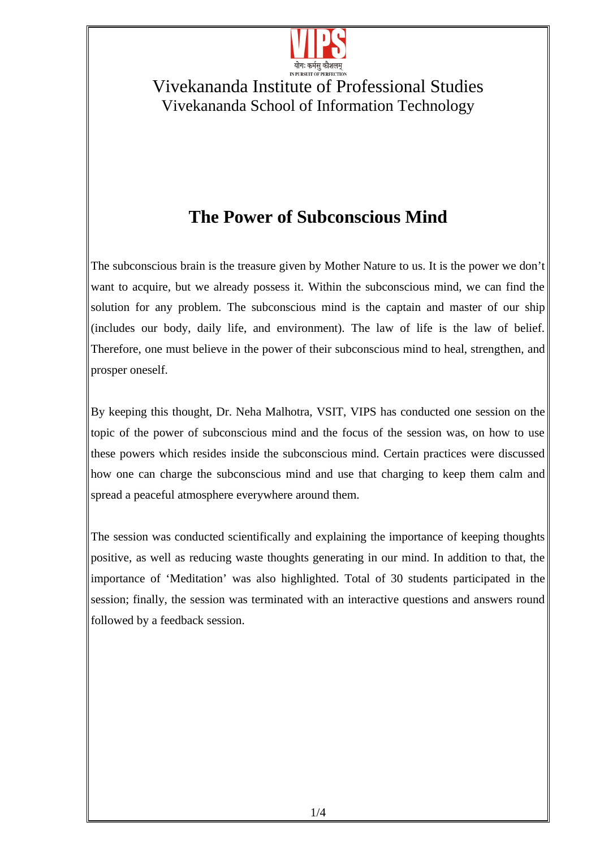

# **The Power of Subconscious Mind**

The subconscious brain is the treasure given by Mother Nature to us. It is the power we don't want to acquire, but we already possess it. Within the subconscious mind, we can find the solution for any problem. The subconscious mind is the captain and master of our ship (includes our body, daily life, and environment). The law of life is the law of belief. Therefore, one must believe in the power of their subconscious mind to heal, strengthen, and prosper oneself.

By keeping this thought, Dr. Neha Malhotra, VSIT, VIPS has conducted one session on the topic of the power of subconscious mind and the focus of the session was, on how to use these powers which resides inside the subconscious mind. Certain practices were discussed how one can charge the subconscious mind and use that charging to keep them calm and spread a peaceful atmosphere everywhere around them.

The session was conducted scientifically and explaining the importance of keeping thoughts positive, as well as reducing waste thoughts generating in our mind. In addition to that, the importance of 'Meditation' was also highlighted. Total of 30 students participated in the session; finally, the session was terminated with an interactive questions and answers round followed by a feedback session.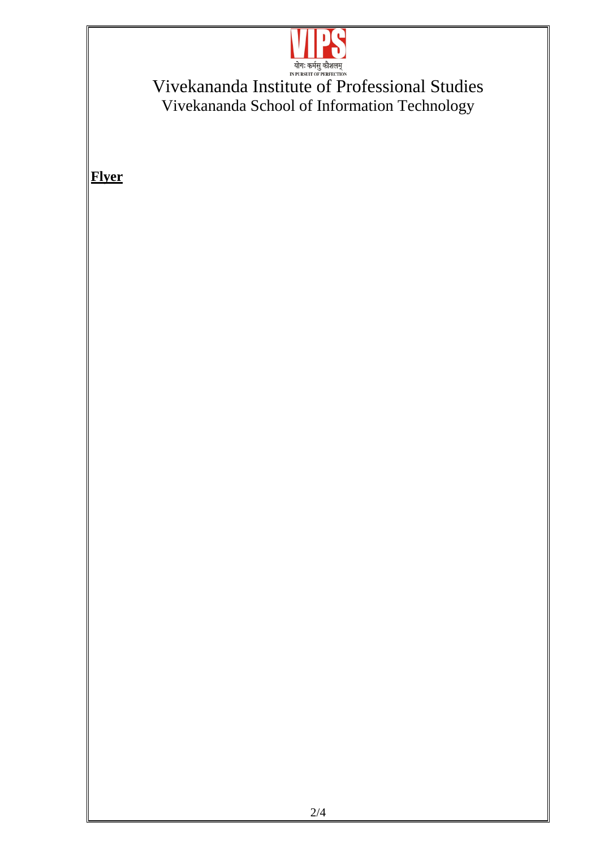

**Flyer**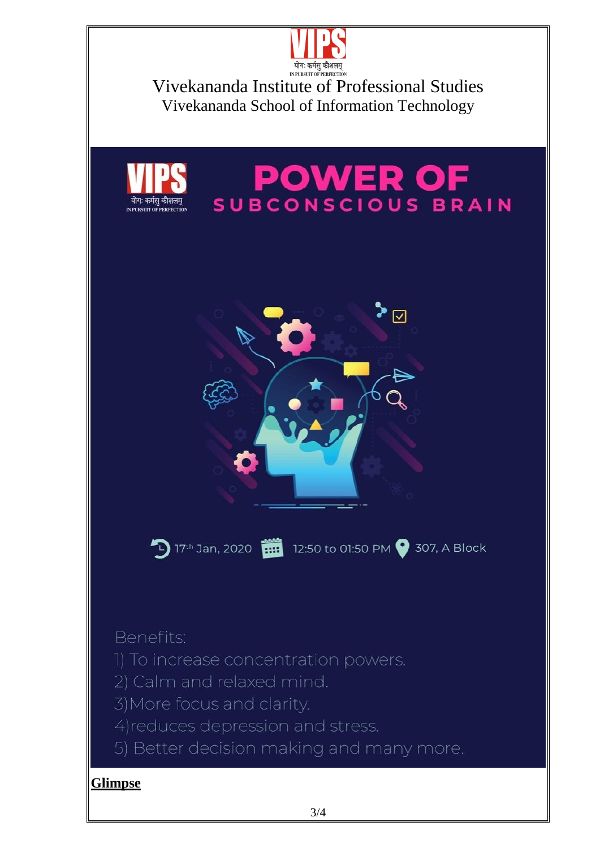



# **POWER OF**



17th Jan, 2020 12:50 to 01:50 PM 307, A Block

Benefits:

- 1) To increase concentration powers.
- 2) Calm and relaxed mind.
- 3) More focus and clarity.
- 4) reduces depression and stress.
- 5) Better decision making and many more.

#### **Glimpse**